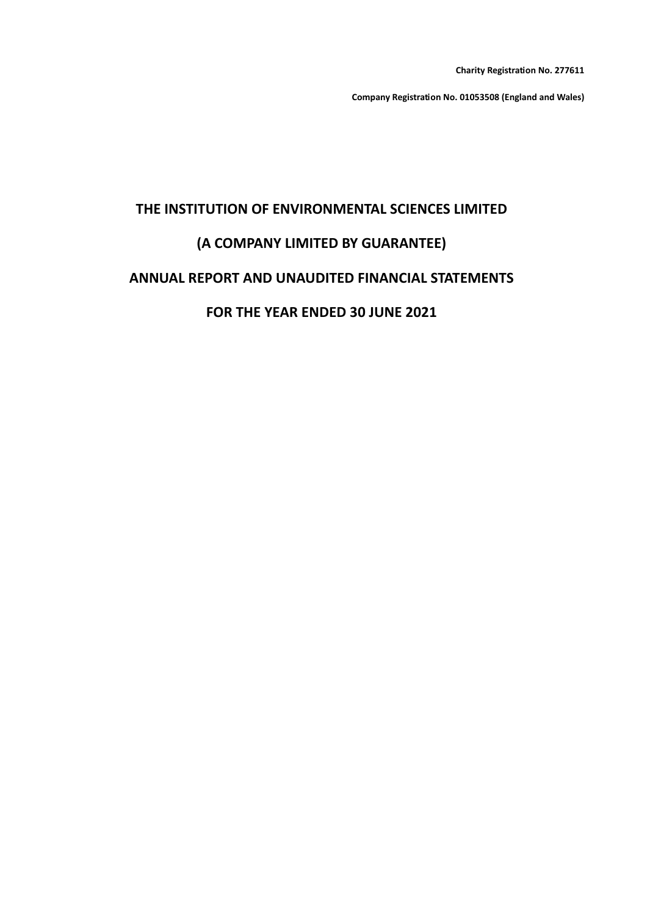**Charity Registration No. 277611**

**Company Registration No. 01053508 (England and Wales)**

# **THE INSTITUTION OF ENVIRONMENTAL SCIENCES LIMITED**

# **(A COMPANY LIMITED BY GUARANTEE)**

## **ANNUAL REPORT AND UNAUDITED FINANCIAL STATEMENTS**

# **FOR THE YEAR ENDED 30 JUNE 2021**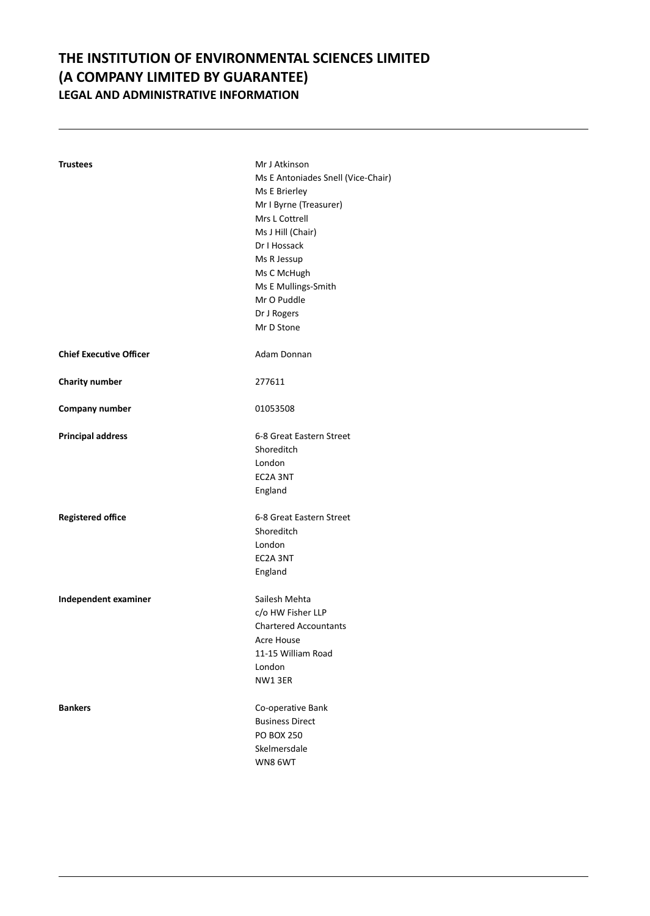# **THE INSTITUTION OF ENVIRONMENTAL SCIENCES LIMITED (A COMPANY LIMITED BY GUARANTEE) LEGAL AND ADMINISTRATIVE INFORMATION**

| Trustees                       | Mr J Atkinson                      |
|--------------------------------|------------------------------------|
|                                | Ms E Antoniades Snell (Vice-Chair) |
|                                | Ms E Brierley                      |
|                                | Mr I Byrne (Treasurer)             |
|                                | Mrs L Cottrell                     |
|                                | Ms J Hill (Chair)                  |
|                                | Dr I Hossack                       |
|                                | Ms R Jessup                        |
|                                | Ms C McHugh                        |
|                                | Ms E Mullings-Smith                |
|                                | Mr O Puddle                        |
|                                | Dr J Rogers                        |
|                                | Mr D Stone                         |
|                                |                                    |
| <b>Chief Executive Officer</b> | Adam Donnan                        |
| <b>Charity number</b>          | 277611                             |
| Company number                 | 01053508                           |
| <b>Principal address</b>       | 6-8 Great Eastern Street           |
|                                | Shoreditch                         |
|                                | London                             |
|                                | EC2A 3NT                           |
|                                | England                            |
| <b>Registered office</b>       | 6-8 Great Eastern Street           |
|                                | Shoreditch                         |
|                                | London                             |
|                                | EC2A 3NT                           |
|                                | England                            |
| Independent examiner           | Sailesh Mehta                      |
|                                | c/o HW Fisher LLP                  |
|                                | <b>Chartered Accountants</b>       |
|                                | Acre House                         |
|                                | 11-15 William Road                 |
|                                | London                             |
|                                | NW13ER                             |
|                                |                                    |
| <b>Bankers</b>                 | Co-operative Bank                  |
|                                | <b>Business Direct</b>             |
|                                | <b>PO BOX 250</b>                  |
|                                | Skelmersdale                       |
|                                | WN8 6WT                            |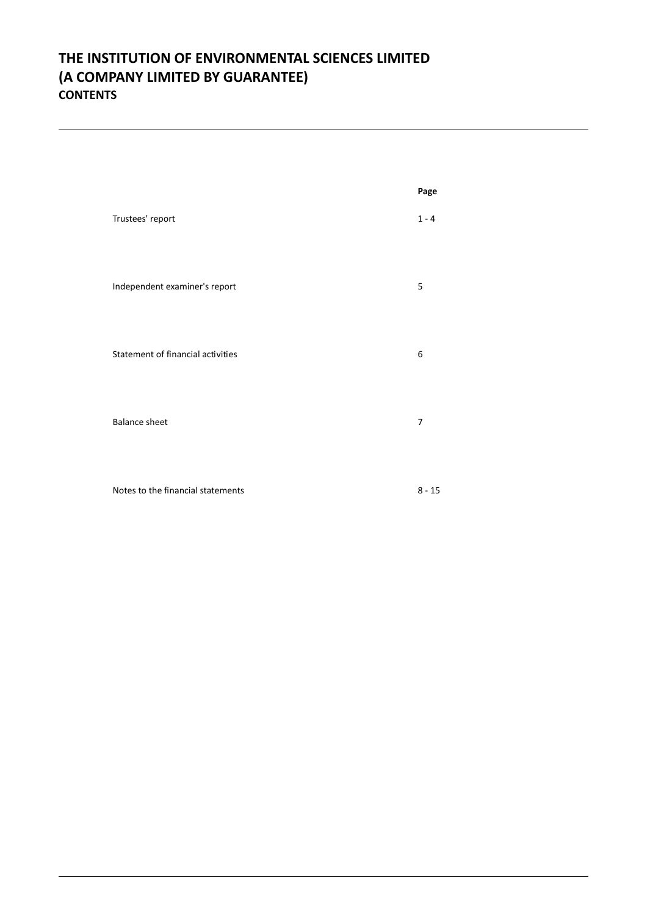# **THE INSTITUTION OF ENVIRONMENTAL SCIENCES LIMITED (A COMPANY LIMITED BY GUARANTEE) CONTENTS**

|                                   | Page     |
|-----------------------------------|----------|
| Trustees' report                  | $1 - 4$  |
| Independent examiner's report     | 5        |
| Statement of financial activities | 6        |
| <b>Balance sheet</b>              | 7        |
| Notes to the financial statements | $8 - 15$ |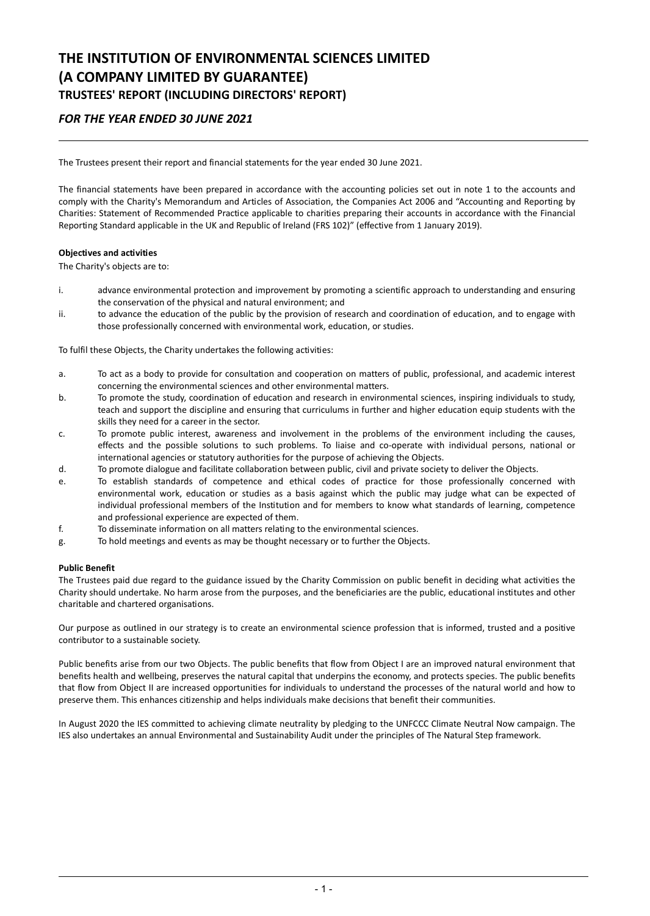# **THE INSTITUTION OF ENVIRONMENTAL SCIENCES LIMITED (A COMPANY LIMITED BY GUARANTEE) TRUSTEES' REPORT (INCLUDING DIRECTORS' REPORT)**

## *FOR THE YEAR ENDED 30 JUNE 2021*

The Trustees present their report and financial statements for the year ended 30 June 2021.

The financial statements have been prepared in accordance with the accounting policies set out in note 1 to the accounts and comply with the Charity's Memorandum and Articles of Association, the Companies Act 2006 and "Accounting and Reporting by Charities: Statement of Recommended Practice applicable to charities preparing their accounts in accordance with the Financial Reporting Standard applicable in the UK and Republic of Ireland (FRS 102)" (effective from 1 January 2019).

#### **Objectives and activities**

The Charity's objects are to:

- i. advance environmental protection and improvement by promoting a scientific approach to understanding and ensuring the conservation of the physical and natural environment; and
- ii. to advance the education of the public by the provision of research and coordination of education, and to engage with those professionally concerned with environmental work, education, or studies.

To fulfil these Objects, the Charity undertakes the following activities:

- a. To act as a body to provide for consultation and cooperation on matters of public, professional, and academic interest concerning the environmental sciences and other environmental matters.
- b. To promote the study, coordination of education and research in environmental sciences, inspiring individuals to study, teach and support the discipline and ensuring that curriculums in further and higher education equip students with the skills they need for a career in the sector.
- c. To promote public interest, awareness and involvement in the problems of the environment including the causes, effects and the possible solutions to such problems. To liaise and co-operate with individual persons, national or international agencies or statutory authorities for the purpose of achieving the Objects.
- d. To promote dialogue and facilitate collaboration between public, civil and private society to deliver the Objects.
- e. To establish standards of competence and ethical codes of practice for those professionally concerned with environmental work, education or studies as a basis against which the public may judge what can be expected of individual professional members of the Institution and for members to know what standards of learning, competence and professional experience are expected of them.
- f. To disseminate information on all matters relating to the environmental sciences.
- g. To hold meetings and events as may be thought necessary or to further the Objects.

#### **Public Benefit**

The Trustees paid due regard to the guidance issued by the Charity Commission on public benefit in deciding what activities the Charity should undertake. No harm arose from the purposes, and the beneficiaries are the public, educational institutes and other charitable and chartered organisations.

Our purpose as outlined in our strategy is to create an environmental science profession that is informed, trusted and a positive contributor to a sustainable society.

Public benefits arise from our two Objects. The public benefits that flow from Object I are an improved natural environment that benefits health and wellbeing, preserves the natural capital that underpins the economy, and protects species. The public benefits that flow from Object II are increased opportunities for individuals to understand the processes of the natural world and how to preserve them. This enhances citizenship and helps individuals make decisions that benefit their communities.

In August 2020 the IES committed to achieving climate neutrality by pledging to the UNFCCC Climate Neutral Now campaign. The IES also undertakes an annual Environmental and Sustainability Audit under the principles of The Natural Step framework.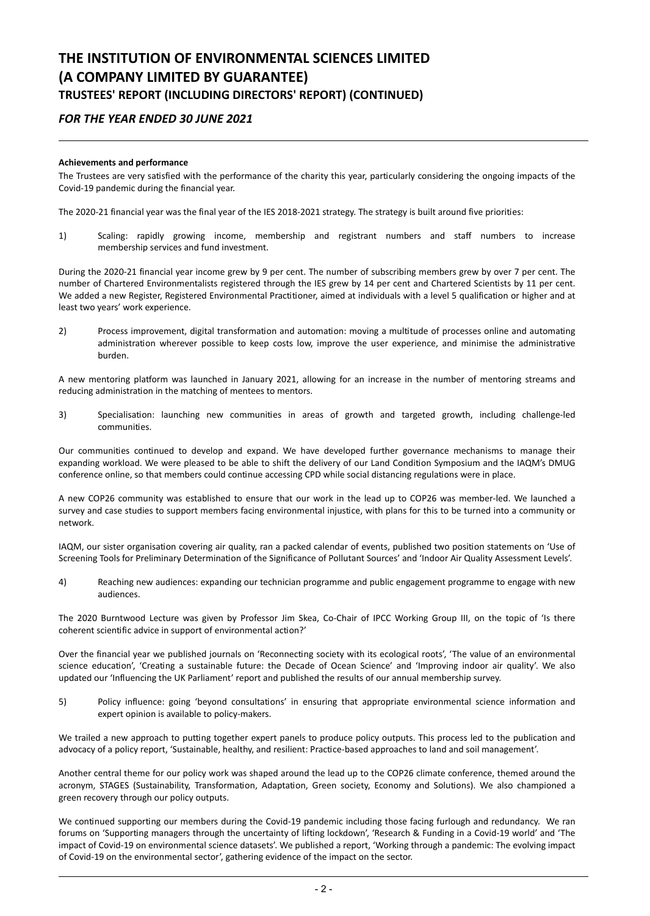# **THE INSTITUTION OF ENVIRONMENTAL SCIENCES LIMITED (A COMPANY LIMITED BY GUARANTEE) TRUSTEES' REPORT (INCLUDING DIRECTORS' REPORT) (CONTINUED)**

## *FOR THE YEAR ENDED 30 JUNE 2021*

### **Achievements and performance**

The Trustees are very satisfied with the performance of the charity this year, particularly considering the ongoing impacts of the Covid-19 pandemic during the financial year.

The 2020-21 financial year was the final year of the IES 2018-2021 strategy. The strategy is built around five priorities:

1) Scaling: rapidly growing income, membership and registrant numbers and staff numbers to increase membership services and fund investment.

During the 2020-21 financial year income grew by 9 per cent. The number of subscribing members grew by over 7 per cent. The number of Chartered Environmentalists registered through the IES grew by 14 per cent and Chartered Scientists by 11 per cent. We added a new Register, Registered Environmental Practitioner, aimed at individuals with a level 5 qualification or higher and at least two years' work experience.

2) Process improvement, digital transformation and automation: moving a multitude of processes online and automating administration wherever possible to keep costs low, improve the user experience, and minimise the administrative burden.

A new mentoring platform was launched in January 2021, allowing for an increase in the number of mentoring streams and reducing administration in the matching of mentees to mentors.

3) Specialisation: launching new communities in areas of growth and targeted growth, including challenge-led communities.

Our communities continued to develop and expand. We have developed further governance mechanisms to manage their expanding workload. We were pleased to be able to shift the delivery of our Land Condition Symposium and the IAQM's DMUG conference online, so that members could continue accessing CPD while social distancing regulations were in place.

A new COP26 community was established to ensure that our work in the lead up to COP26 was member-led. We launched a survey and case studies to support members facing environmental injustice, with plans for this to be turned into a community or network.

IAQM, our sister organisation covering air quality, ran a packed calendar of events, published two position statements on 'Use of Screening Tools for Preliminary Determination of the Significance of Pollutant Sources' and 'Indoor Air Quality Assessment Levels'.

4) Reaching new audiences: expanding our technician programme and public engagement programme to engage with new audiences.

The 2020 Burntwood Lecture was given by Professor Jim Skea, Co-Chair of IPCC Working Group III, on the topic of 'Is there coherent scientific advice in support of environmental action?'

Over the financial year we published journals on 'Reconnecting society with its ecological roots', 'The value of an environmental science education', 'Creating a sustainable future: the Decade of Ocean Science' and 'Improving indoor air quality'. We also updated our 'Influencing the UK Parliament' report and published the results of our annual membership survey.

5) Policy influence: going 'beyond consultations' in ensuring that appropriate environmental science information and expert opinion is available to policy-makers.

We trailed a new approach to putting together expert panels to produce policy outputs. This process led to the publication and advocacy of a policy report, 'Sustainable, healthy, and resilient: Practice-based approaches to land and soil management'.

Another central theme for our policy work was shaped around the lead up to the COP26 climate conference, themed around the acronym, STAGES (Sustainability, Transformation, Adaptation, Green society, Economy and Solutions). We also championed a green recovery through our policy outputs.

We continued supporting our members during the Covid-19 pandemic including those facing furlough and redundancy. We ran forums on 'Supporting managers through the uncertainty of lifting lockdown', 'Research & Funding in a Covid-19 world' and 'The impact of Covid-19 on environmental science datasets'. We published a report, 'Working through a pandemic: The evolving impact of Covid-19 on the environmental sector', gathering evidence of the impact on the sector.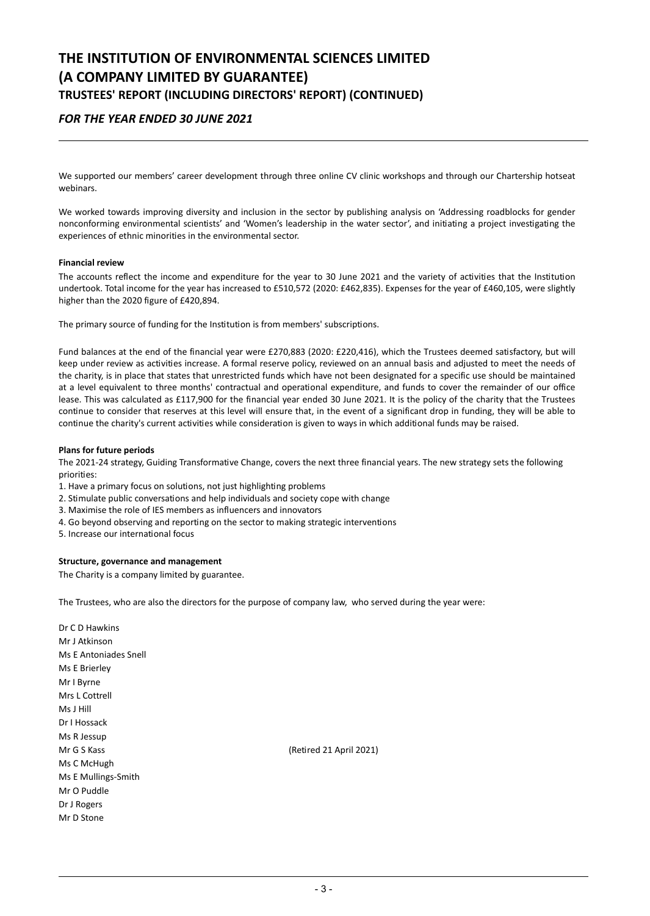# **THE INSTITUTION OF ENVIRONMENTAL SCIENCES LIMITED (A COMPANY LIMITED BY GUARANTEE) TRUSTEES' REPORT (INCLUDING DIRECTORS' REPORT) (CONTINUED)**

## *FOR THE YEAR ENDED 30 JUNE 2021*

We supported our members' career development through three online CV clinic workshops and through our Chartership hotseat webinars.

We worked towards improving diversity and inclusion in the sector by publishing analysis on 'Addressing roadblocks for gender nonconforming environmental scientists' and 'Women's leadership in the water sector', and initiating a project investigating the experiences of ethnic minorities in the environmental sector.

#### **Financial review**

The accounts reflect the income and expenditure for the year to 30 June 2021 and the variety of activities that the Institution undertook. Total income for the year has increased to £510,572 (2020: £462,835). Expenses for the year of £460,105, were slightly higher than the 2020 figure of £420,894.

The primary source of funding for the Institution is from members' subscriptions.

Fund balances at the end of the financial year were £270,883 (2020: £220,416), which the Trustees deemed satisfactory, but will keep under review as activities increase. A formal reserve policy, reviewed on an annual basis and adjusted to meet the needs of the charity, is in place that states that unrestricted funds which have not been designated for a specific use should be maintained at a level equivalent to three months' contractual and operational expenditure, and funds to cover the remainder of our office lease. This was calculated as £117,900 for the financial year ended 30 June 2021. It is the policy of the charity that the Trustees continue to consider that reserves at this level will ensure that, in the event of a significant drop in funding, they will be able to continue the charity's current activities while consideration is given to ways in which additional funds may be raised.

#### **Plans for future periods**

The 2021-24 strategy, Guiding Transformative Change, covers the next three financial years. The new strategy sets the following priorities:

- 1. Have a primary focus on solutions, not just highlighting problems
- 2. Stimulate public conversations and help individuals and society cope with change
- 3. Maximise the role of IES members as influencers and innovators
- 4. Go beyond observing and reporting on the sector to making strategic interventions
- 5. Increase our international focus

#### **Structure, governance and management**

The Charity is a company limited by guarantee.

The Trustees, who are also the directors for the purpose of company law, who served during the year were:

Dr C D Hawkins Mr J Atkinson Ms E Antoniades Snell Ms E Brierley Mr I Byrne Mrs L Cottrell Ms J Hill Dr I Hossack Ms R Jessup Mr G S Kass (Retired 21 April 2021) Ms C McHugh Ms E Mullings-Smith Mr O Puddle Dr J Rogers Mr D Stone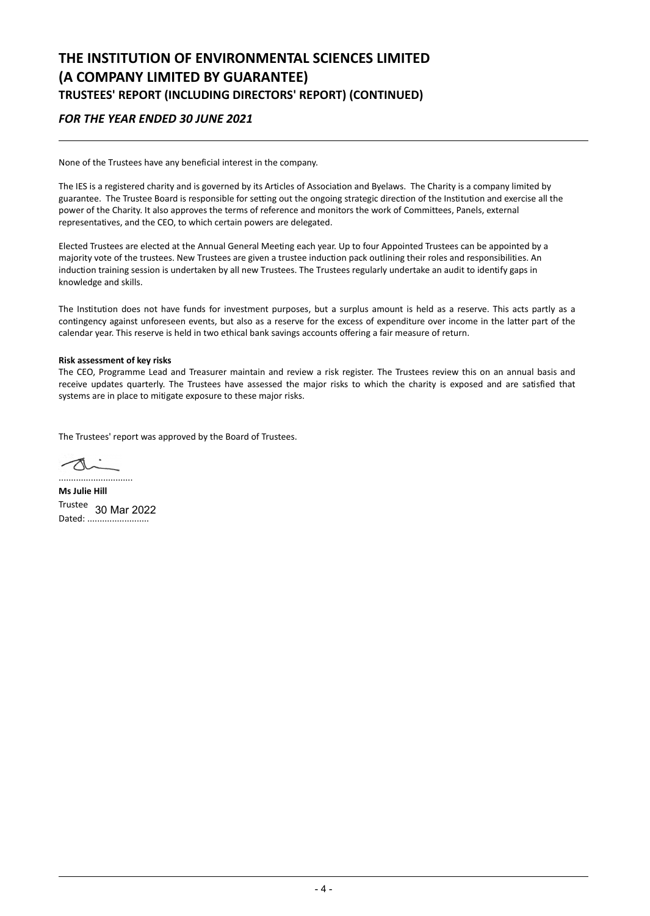# **THE INSTITUTION OF ENVIRONMENTAL SCIENCES LIMITED (A COMPANY LIMITED BY GUARANTEE) TRUSTEES' REPORT (INCLUDING DIRECTORS' REPORT) (CONTINUED)**

## *FOR THE YEAR ENDED 30 JUNE 2021*

None of the Trustees have any beneficial interest in the company.

The IES is a registered charity and is governed by its Articles of Association and Byelaws. The Charity is a company limited by guarantee. The Trustee Board is responsible for setting out the ongoing strategic direction of the Institution and exercise all the power of the Charity. It also approves the terms of reference and monitors the work of Committees, Panels, external representatives, and the CEO, to which certain powers are delegated.

Elected Trustees are elected at the Annual General Meeting each year. Up to four Appointed Trustees can be appointed by a majority vote of the trustees. New Trustees are given a trustee induction pack outlining their roles and responsibilities. An induction training session is undertaken by all new Trustees. The Trustees regularly undertake an audit to identify gaps in knowledge and skills.

The Institution does not have funds for investment purposes, but a surplus amount is held as a reserve. This acts partly as a contingency against unforeseen events, but also as a reserve for the excess of expenditure over income in the latter part of the calendar year. This reserve is held in two ethical bank savings accounts offering a fair measure of return.

### **Risk assessment of key risks**

The CEO, Programme Lead and Treasurer maintain and review a risk register. The Trustees review this on an annual basis and receive updates quarterly. The Trustees have assessed the major risks to which the charity is exposed and are satisfied that systems are in place to mitigate exposure to these major risks.

The Trustees' report was approved by the Board of Trustees.

A ..............................

**Ms Julie Hill** Trustee 30 Mar 2022Dated: ............................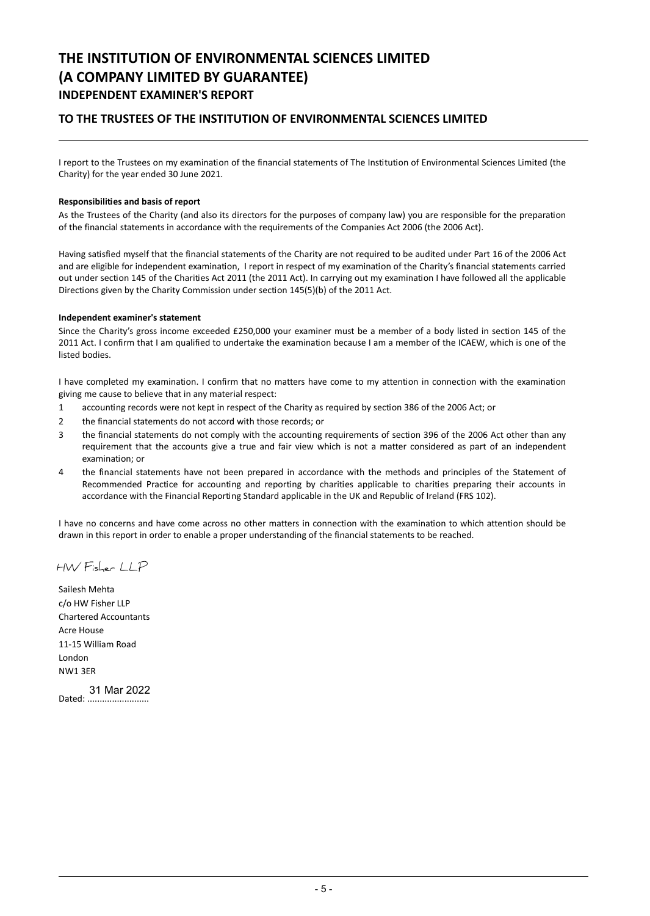# **THE INSTITUTION OF ENVIRONMENTAL SCIENCES LIMITED (A COMPANY LIMITED BY GUARANTEE) INDEPENDENT EXAMINER'S REPORT**

## **TO THE TRUSTEES OF THE INSTITUTION OF ENVIRONMENTAL SCIENCES LIMITED**

I report to the Trustees on my examination of the financial statements of The Institution of Environmental Sciences Limited (the Charity) for the year ended 30 June 2021.

#### **Responsibilities and basis of report**

As the Trustees of the Charity (and also its directors for the purposes of company law) you are responsible for the preparation of the financial statements in accordance with the requirements of the Companies Act 2006 (the 2006 Act).

Having satisfied myself that the financial statements of the Charity are not required to be audited under Part 16 of the 2006 Act and are eligible for independent examination, I report in respect of my examination of the Charity's financial statements carried out under section 145 of the Charities Act 2011 (the 2011 Act). In carrying out my examination I have followed all the applicable Directions given by the Charity Commission under section 145(5)(b) of the 2011 Act.

#### **Independent examiner's statement**

Since the Charity's gross income exceeded £250,000 your examiner must be a member of a body listed in section 145 of the 2011 Act. I confirm that I am qualified to undertake the examination because I am a member of the ICAEW, which is one of the listed bodies.

I have completed my examination. I confirm that no matters have come to my attention in connection with the examination giving me cause to believe that in any material respect:

- 1 accounting records were not kept in respect of the Charity as required by section 386 of the 2006 Act; or
- 2 the financial statements do not accord with those records; or
- 3 the financial statements do not comply with the accounting requirements of section 396 of the 2006 Act other than any requirement that the accounts give a true and fair view which is not a matter considered as part of an independent examination; or
- 4 the financial statements have not been prepared in accordance with the methods and principles of the Statement of Recommended Practice for accounting and reporting by charities applicable to charities preparing their accounts in accordance with the Financial Reporting Standard applicable in the UK and Republic of Ireland (FRS 102).

I have no concerns and have come across no other matters in connection with the examination to which attention should be drawn in this report in order to enable a proper understanding of the financial statements to be reached.

HW Fisher LLP

Sailesh Mehta c/o HW Fisher LLP Chartered Accountants Acre House 11-15 William Road London NW1 3ER

Dated: ......................... 31 Mar 2022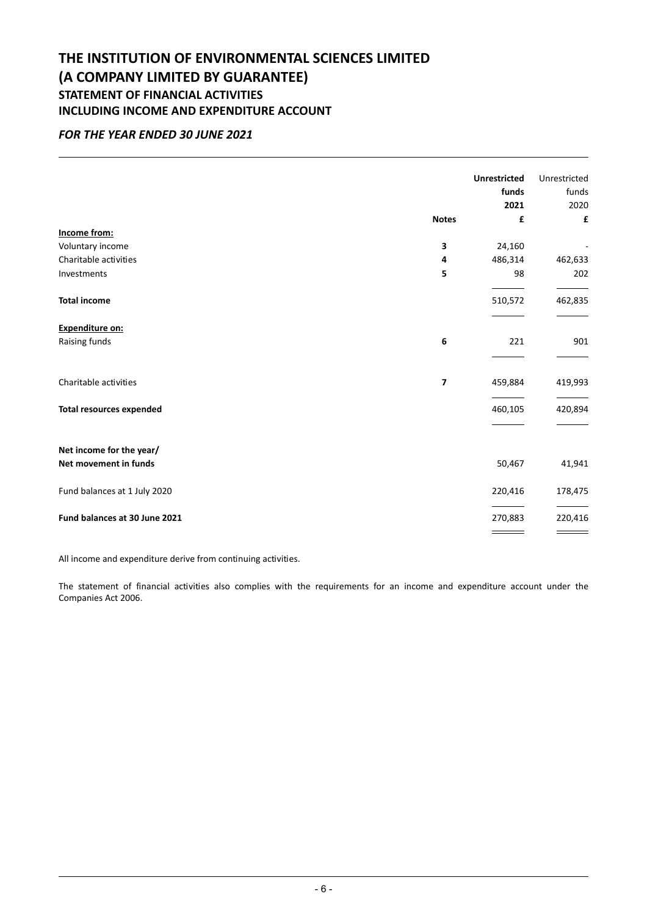# **THE INSTITUTION OF ENVIRONMENTAL SCIENCES LIMITED (A COMPANY LIMITED BY GUARANTEE) STATEMENT OF FINANCIAL ACTIVITIES INCLUDING INCOME AND EXPENDITURE ACCOUNT**

## *FOR THE YEAR ENDED 30 JUNE 2021*

|                                 |              | <b>Unrestricted</b> | Unrestricted |
|---------------------------------|--------------|---------------------|--------------|
|                                 |              | funds               | funds        |
|                                 |              | 2021                | 2020         |
|                                 | <b>Notes</b> | £                   | £            |
| Income from:                    |              |                     |              |
| Voluntary income                | 3            | 24,160              |              |
| Charitable activities           | 4            | 486,314             | 462,633      |
| Investments                     | 5            | 98                  | 202          |
| <b>Total income</b>             |              | 510,572             | 462,835      |
| <b>Expenditure on:</b>          |              |                     |              |
| Raising funds                   | 6            | 221                 | 901          |
| Charitable activities           | 7            | 459,884             | 419,993      |
| <b>Total resources expended</b> |              | 460,105             | 420,894      |
|                                 |              |                     |              |
| Net income for the year/        |              |                     |              |
| Net movement in funds           |              | 50,467              | 41,941       |
| Fund balances at 1 July 2020    |              | 220,416             | 178,475      |
| Fund balances at 30 June 2021   |              | 270,883             | 220,416      |
|                                 |              |                     |              |

All income and expenditure derive from continuing activities.

The statement of financial activities also complies with the requirements for an income and expenditure account under the Companies Act 2006.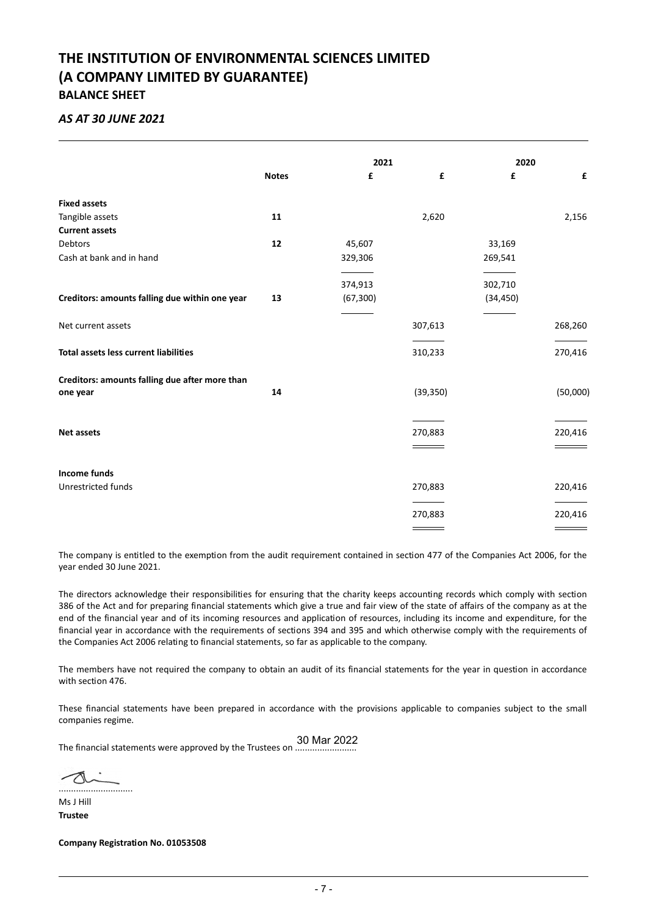# **THE INSTITUTION OF ENVIRONMENTAL SCIENCES LIMITED (A COMPANY LIMITED BY GUARANTEE) BALANCE SHEET**

## *AS AT 30 JUNE 2021*

|                                                |              |           | 2021      |           | 2020     |  |
|------------------------------------------------|--------------|-----------|-----------|-----------|----------|--|
|                                                | <b>Notes</b> | £         | £         | £         | £        |  |
| <b>Fixed assets</b>                            |              |           |           |           |          |  |
| Tangible assets                                | 11           |           | 2,620     |           | 2,156    |  |
| <b>Current assets</b>                          |              |           |           |           |          |  |
| Debtors                                        | 12           | 45,607    |           | 33,169    |          |  |
| Cash at bank and in hand                       |              | 329,306   |           | 269,541   |          |  |
|                                                |              | 374,913   |           | 302,710   |          |  |
| Creditors: amounts falling due within one year | 13           | (67, 300) |           | (34, 450) |          |  |
| Net current assets                             |              |           | 307,613   |           | 268,260  |  |
| Total assets less current liabilities          |              |           | 310,233   |           | 270,416  |  |
| Creditors: amounts falling due after more than |              |           |           |           |          |  |
| one year                                       | 14           |           | (39, 350) |           | (50,000) |  |
|                                                |              |           |           |           |          |  |
| <b>Net assets</b>                              |              |           | 270,883   |           | 220,416  |  |
| <b>Income funds</b>                            |              |           |           |           |          |  |
| Unrestricted funds                             |              |           | 270,883   |           | 220,416  |  |
|                                                |              |           | 270,883   |           | 220,416  |  |
|                                                |              |           |           |           |          |  |

The company is entitled to the exemption from the audit requirement contained in section 477 of the Companies Act 2006, for the year ended 30 June 2021.

The directors acknowledge their responsibilities for ensuring that the charity keeps accounting records which comply with section 386 of the Act and for preparing financial statements which give a true and fair view of the state of affairs of the company as at the end of the financial year and of its incoming resources and application of resources, including its income and expenditure, for the financial year in accordance with the requirements of sections 394 and 395 and which otherwise comply with the requirements of the Companies Act 2006 relating to financial statements, so far as applicable to the company.

The members have not required the company to obtain an audit of its financial statements for the year in question in accordance with section 476.

These financial statements have been prepared in accordance with the provisions applicable to companies subject to the small companies regime.

The financial statements were approved by the Trustees on ......................... 30 Mar 2022

 $\sim$ ..............................

Ms J Hill **Trustee**

**Company Registration No. 01053508**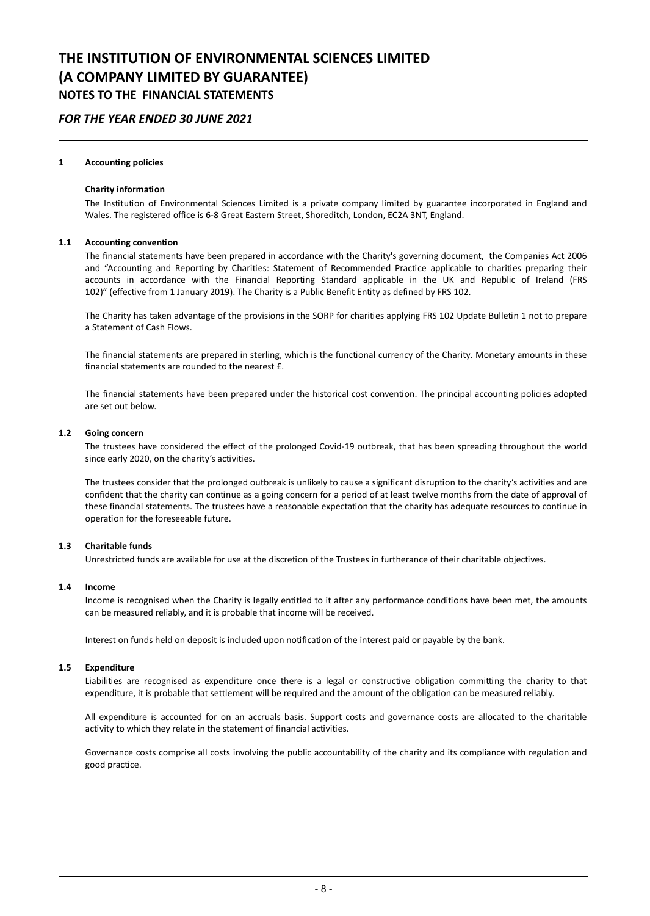### *FOR THE YEAR ENDED 30 JUNE 2021*

#### **1 Accounting policies**

#### **Charity information**

The Institution of Environmental Sciences Limited is a private company limited by guarantee incorporated in England and Wales. The registered office is 6-8 Great Eastern Street, Shoreditch, London, EC2A 3NT, England.

### **1.1 Accounting convention**

The financial statements have been prepared in accordance with the Charity's governing document, the Companies Act 2006 and "Accounting and Reporting by Charities: Statement of Recommended Practice applicable to charities preparing their accounts in accordance with the Financial Reporting Standard applicable in the UK and Republic of Ireland (FRS 102)" (effective from 1 January 2019). The Charity is a Public Benefit Entity as defined by FRS 102.

The Charity has taken advantage of the provisions in the SORP for charities applying FRS 102 Update Bulletin 1 not to prepare a Statement of Cash Flows.

The financial statements are prepared in sterling, which is the functional currency of the Charity. Monetary amounts in these financial statements are rounded to the nearest £.

The financial statements have been prepared under the historical cost convention. The principal accounting policies adopted are set out below.

#### **1.2 Going concern**

The trustees have considered the effect of the prolonged Covid-19 outbreak, that has been spreading throughout the world since early 2020, on the charity's activities.

The trustees consider that the prolonged outbreak is unlikely to cause a significant disruption to the charity's activities and are confident that the charity can continue as a going concern for a period of at least twelve months from the date of approval of these financial statements. The trustees have a reasonable expectation that the charity has adequate resources to continue in operation for the foreseeable future.

#### **1.3 Charitable funds**

Unrestricted funds are available for use at the discretion of the Trustees in furtherance of their charitable objectives.

#### **1.4 Income**

Income is recognised when the Charity is legally entitled to it after any performance conditions have been met, the amounts can be measured reliably, and it is probable that income will be received.

Interest on funds held on deposit is included upon notification of the interest paid or payable by the bank.

#### **1.5 Expenditure**

Liabilities are recognised as expenditure once there is a legal or constructive obligation committing the charity to that expenditure, it is probable that settlement will be required and the amount of the obligation can be measured reliably.

All expenditure is accounted for on an accruals basis. Support costs and governance costs are allocated to the charitable activity to which they relate in the statement of financial activities.

Governance costs comprise all costs involving the public accountability of the charity and its compliance with regulation and good practice.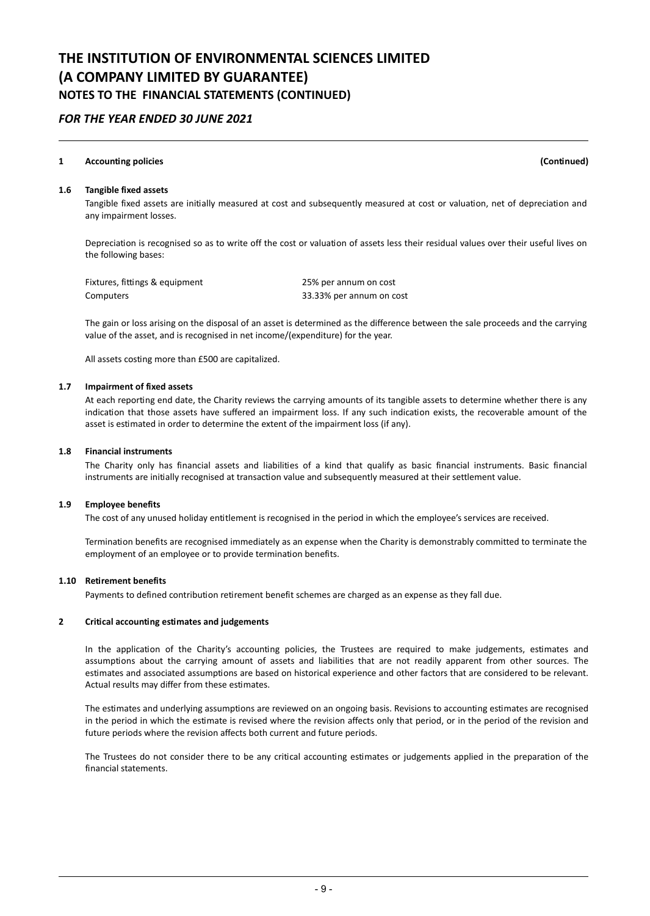## *FOR THE YEAR ENDED 30 JUNE 2021*

### **1 Accounting policies (Continued)**

#### **1.6 Tangible fixed assets**

Tangible fixed assets are initially measured at cost and subsequently measured at cost or valuation, net of depreciation and any impairment losses.

Depreciation is recognised so as to write off the cost or valuation of assets less their residual values over their useful lives on the following bases:

| Fixtures, fittings & equipment | 25% per annum on cost    |
|--------------------------------|--------------------------|
| Computers                      | 33.33% per annum on cost |

The gain or loss arising on the disposal of an asset is determined as the difference between the sale proceeds and the carrying value of the asset, and is recognised in net income/(expenditure) for the year.

All assets costing more than £500 are capitalized.

#### **1.7 Impairment of fixed assets**

At each reporting end date, the Charity reviews the carrying amounts of its tangible assets to determine whether there is any indication that those assets have suffered an impairment loss. If any such indication exists, the recoverable amount of the asset is estimated in order to determine the extent of the impairment loss (if any).

#### **1.8 Financial instruments**

The Charity only has financial assets and liabilities of a kind that qualify as basic financial instruments. Basic financial instruments are initially recognised at transaction value and subsequently measured at their settlement value.

#### **1.9 Employee benefits**

The cost of any unused holiday entitlement is recognised in the period in which the employee's services are received.

Termination benefits are recognised immediately as an expense when the Charity is demonstrably committed to terminate the employment of an employee or to provide termination benefits.

### **1.10 Retirement benefits**

Payments to defined contribution retirement benefit schemes are charged as an expense as they fall due.

#### **2 Critical accounting estimates and judgements**

In the application of the Charity's accounting policies, the Trustees are required to make judgements, estimates and assumptions about the carrying amount of assets and liabilities that are not readily apparent from other sources. The estimates and associated assumptions are based on historical experience and other factors that are considered to be relevant. Actual results may differ from these estimates.

The estimates and underlying assumptions are reviewed on an ongoing basis. Revisions to accounting estimates are recognised in the period in which the estimate is revised where the revision affects only that period, or in the period of the revision and future periods where the revision affects both current and future periods.

The Trustees do not consider there to be any critical accounting estimates or judgements applied in the preparation of the financial statements.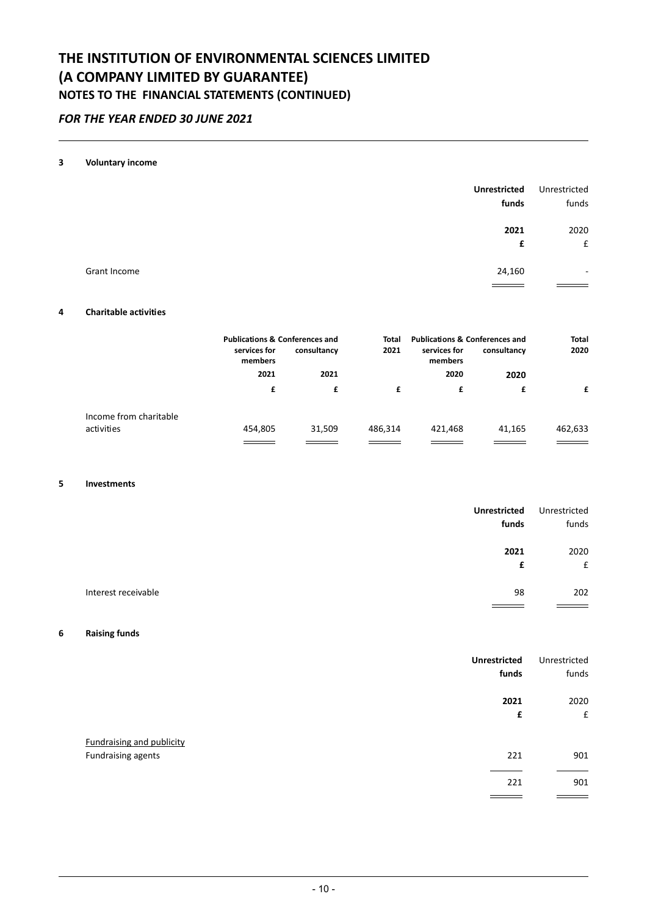## *FOR THE YEAR ENDED 30 JUNE 2021*

### **3 Voluntary income**

|              | <b>Unrestricted</b><br>funds | Unrestricted<br>funds |
|--------------|------------------------------|-----------------------|
|              | 2021                         | 2020                  |
|              | £                            | £                     |
| Grant Income | 24,160                       | ٠                     |
|              |                              |                       |

### **4 Charitable activities**

|                        | <b>Publications &amp; Conferences and</b><br>services for<br>members | consultancy | Total<br>2021 | <b>Publications &amp; Conferences and</b><br>services for<br>members | consultancy | <b>Total</b><br>2020 |
|------------------------|----------------------------------------------------------------------|-------------|---------------|----------------------------------------------------------------------|-------------|----------------------|
|                        | 2021                                                                 | 2021        |               | 2020                                                                 | 2020        |                      |
|                        | £                                                                    | £           | £             | £                                                                    |             | f                    |
| Income from charitable |                                                                      |             |               |                                                                      |             |                      |
| activities             | 454,805                                                              | 31,509      | 486,314       | 421,468                                                              | 41,165      | 462,633              |
|                        |                                                                      |             |               |                                                                      |             |                      |

### **5 Investments**

| <b>Unrestricted</b>       | Unrestricted |
|---------------------------|--------------|
| funds                     | funds        |
| 2021                      | 2020         |
| £                         | £            |
| Interest receivable<br>98 | 202          |

### **6 Raising funds**

|                                                        | <b>Unrestricted</b><br>funds | Unrestricted<br>funds      |
|--------------------------------------------------------|------------------------------|----------------------------|
|                                                        | 2021<br>£                    | 2020<br>$\pmb{\mathsf{f}}$ |
| <b>Fundraising and publicity</b><br>Fundraising agents | 221                          | 901                        |
|                                                        | 221                          | 901                        |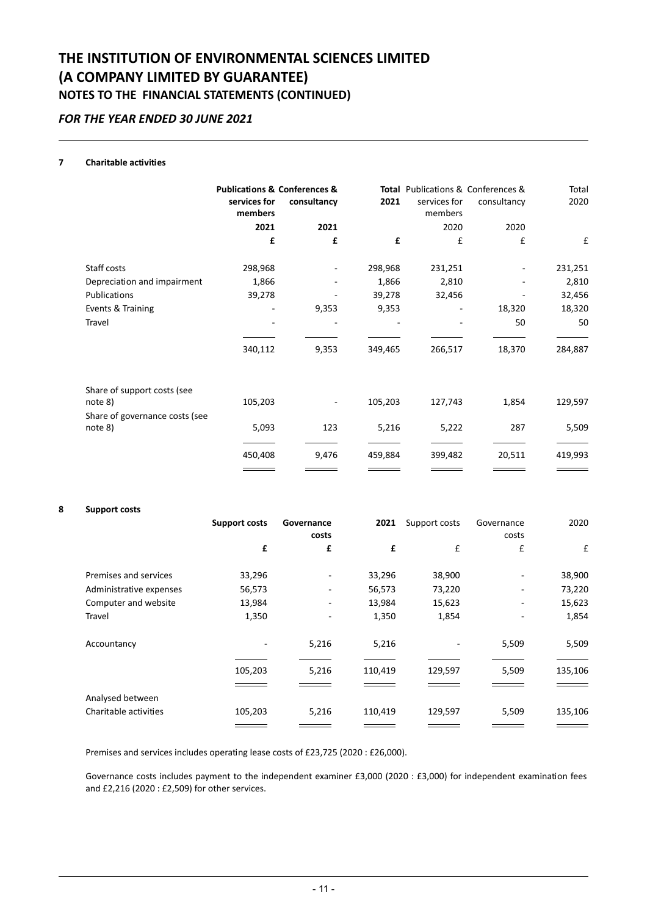## *FOR THE YEAR ENDED 30 JUNE 2021*

### **7 Charitable activities**

| services for<br>members | <b>Publications &amp; Conferences &amp;</b><br>consultancy | 2021    | services for<br>members | Total Publications & Conferences &<br>consultancy | Total<br>2020 |
|-------------------------|------------------------------------------------------------|---------|-------------------------|---------------------------------------------------|---------------|
| 2021                    | 2021                                                       |         | 2020                    | 2020                                              |               |
| £                       | £                                                          | £       | £                       | £                                                 | £             |
| 298,968                 |                                                            | 298,968 | 231,251                 |                                                   | 231,251       |
| 1,866                   |                                                            | 1,866   | 2,810                   |                                                   | 2,810         |
| 39,278                  |                                                            | 39,278  | 32,456                  |                                                   | 32,456        |
|                         | 9,353                                                      | 9,353   |                         | 18,320                                            | 18,320        |
|                         |                                                            |         |                         | 50                                                | 50            |
| 340,112                 | 9,353                                                      | 349,465 | 266,517                 | 18,370                                            | 284,887       |
| 105,203                 |                                                            | 105,203 | 127,743                 | 1,854                                             | 129,597       |
| 5,093                   | 123                                                        | 5,216   | 5,222                   | 287                                               | 5,509         |
| 450,408                 | 9,476                                                      | 459,884 | 399,482                 | 20,511                                            | 419,993       |
|                         |                                                            |         |                         |                                                   |               |

#### **8 Support costs**

|                         | <b>Support costs</b> | Governance<br>costs      | 2021    | Support costs | Governance<br>costs | 2020    |
|-------------------------|----------------------|--------------------------|---------|---------------|---------------------|---------|
|                         | £                    | £                        | £       | £             | £                   | £       |
| Premises and services   | 33,296               | $\overline{\phantom{m}}$ | 33,296  | 38,900        |                     | 38,900  |
| Administrative expenses | 56,573               | -                        | 56,573  | 73,220        |                     | 73,220  |
| Computer and website    | 13,984               | $\overline{\phantom{m}}$ | 13,984  | 15,623        |                     | 15,623  |
| Travel                  | 1,350                | ٠                        | 1,350   | 1,854         |                     | 1,854   |
| Accountancy             |                      | 5,216                    | 5,216   |               | 5,509               | 5,509   |
|                         | 105,203              | 5,216                    | 110,419 | 129,597       | 5,509               | 135,106 |
| Analysed between        |                      |                          |         |               |                     |         |
| Charitable activities   | 105,203              | 5,216                    | 110,419 | 129,597       | 5,509               | 135,106 |

Premises and services includes operating lease costs of £23,725 (2020 : £26,000).

Governance costs includes payment to the independent examiner £3,000 (2020 : £3,000) for independent examination fees and £2,216 (2020 : £2,509) for other services.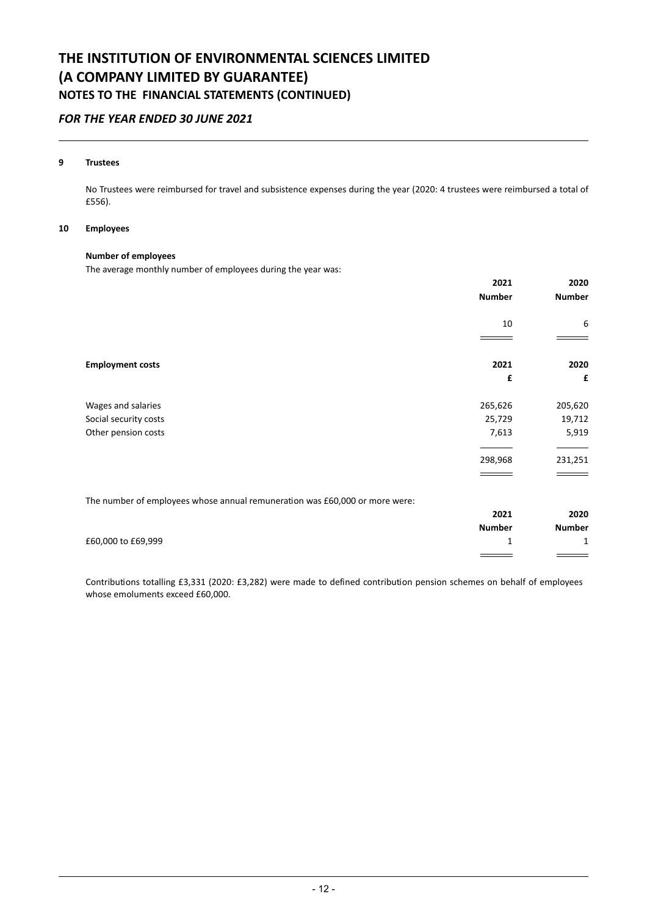## *FOR THE YEAR ENDED 30 JUNE 2021*

### **9 Trustees**

No Trustees were reimbursed for travel and subsistence expenses during the year (2020: 4 trustees were reimbursed a total of £556).

#### **10 Employees**

### **Number of employees**

The average monthly number of employees during the year was:

|                                                                             | 2021          | 2020          |
|-----------------------------------------------------------------------------|---------------|---------------|
|                                                                             | <b>Number</b> | <b>Number</b> |
|                                                                             | 10            | 6             |
|                                                                             |               |               |
| <b>Employment costs</b>                                                     | 2021          | 2020          |
|                                                                             | £             | £             |
| Wages and salaries                                                          | 265,626       | 205,620       |
| Social security costs                                                       | 25,729        | 19,712        |
| Other pension costs                                                         | 7,613         | 5,919         |
|                                                                             | 298,968       | 231,251       |
|                                                                             |               |               |
| The number of employees whose annual remuneration was £60,000 or more were: |               |               |
|                                                                             | 2021          | 2020          |
|                                                                             | <b>Number</b> | <b>Number</b> |
| £60,000 to £69,999                                                          | 1             | 1             |
|                                                                             |               |               |

Contributions totalling £3,331 (2020: £3,282) were made to defined contribution pension schemes on behalf of employees whose emoluments exceed £60,000.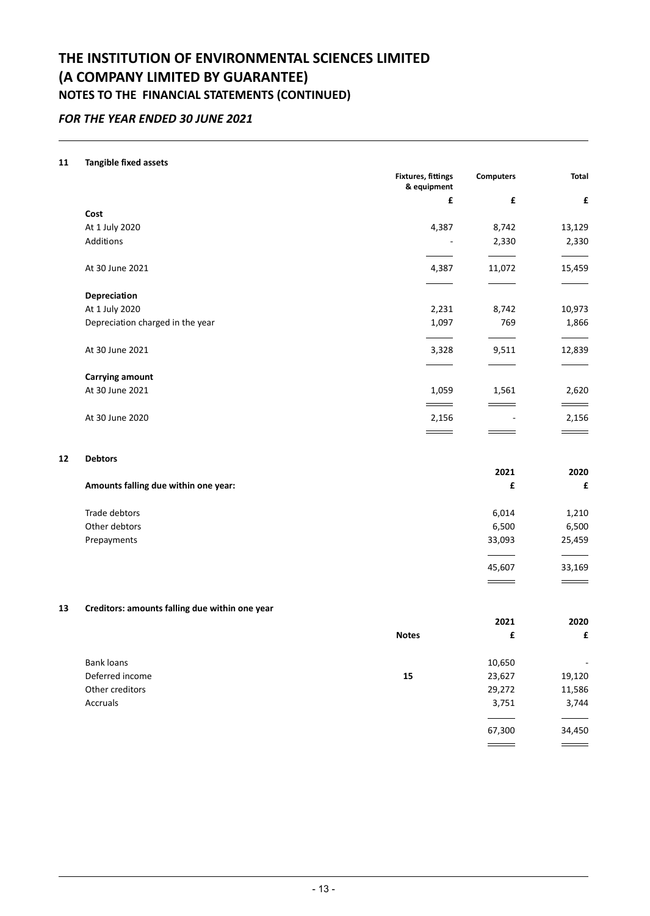## *FOR THE YEAR ENDED 30 JUNE 2021*

### **11 Tangible fixed assets**

|                                  | <b>Fixtures, fittings</b><br>& equipment | <b>Computers</b> | <b>Total</b> |
|----------------------------------|------------------------------------------|------------------|--------------|
|                                  | £                                        | £                | £            |
| Cost                             |                                          |                  |              |
| At 1 July 2020                   | 4,387                                    | 8,742            | 13,129       |
| Additions                        |                                          | 2,330            | 2,330        |
|                                  |                                          |                  |              |
| At 30 June 2021                  | 4,387                                    | 11,072           | 15,459       |
|                                  |                                          |                  |              |
| Depreciation                     |                                          |                  |              |
| At 1 July 2020                   | 2,231                                    | 8,742            | 10,973       |
| Depreciation charged in the year | 1,097                                    | 769              | 1,866        |
|                                  |                                          |                  |              |
| At 30 June 2021                  | 3,328                                    | 9,511            | 12,839       |
|                                  |                                          |                  |              |
| <b>Carrying amount</b>           |                                          |                  |              |
| At 30 June 2021                  | 1,059                                    | 1,561            | 2,620        |
|                                  |                                          |                  |              |
| At 30 June 2020                  | 2,156                                    |                  | 2,156        |
|                                  |                                          |                  |              |

### **12 Debtors**

|                                      | 2021   | 2020   |
|--------------------------------------|--------|--------|
| Amounts falling due within one year: | £      | £      |
| Trade debtors                        | 6,014  | 1,210  |
| Other debtors                        | 6,500  | 6,500  |
| Prepayments                          | 33,093 | 25,459 |
|                                      |        |        |
|                                      | 45,607 | 33,169 |
|                                      | ______ | ___    |

### **13 Creditors: amounts falling due within one year**

|                 |              | 2021   | 2020   |
|-----------------|--------------|--------|--------|
|                 | <b>Notes</b> | £      | £      |
| Bank loans      |              | 10,650 | ٠      |
| Deferred income | 15           | 23,627 | 19,120 |
| Other creditors |              | 29,272 | 11,586 |
| Accruals        |              | 3,751  | 3,744  |
|                 |              |        |        |
|                 |              | 67,300 | 34,450 |
|                 |              |        |        |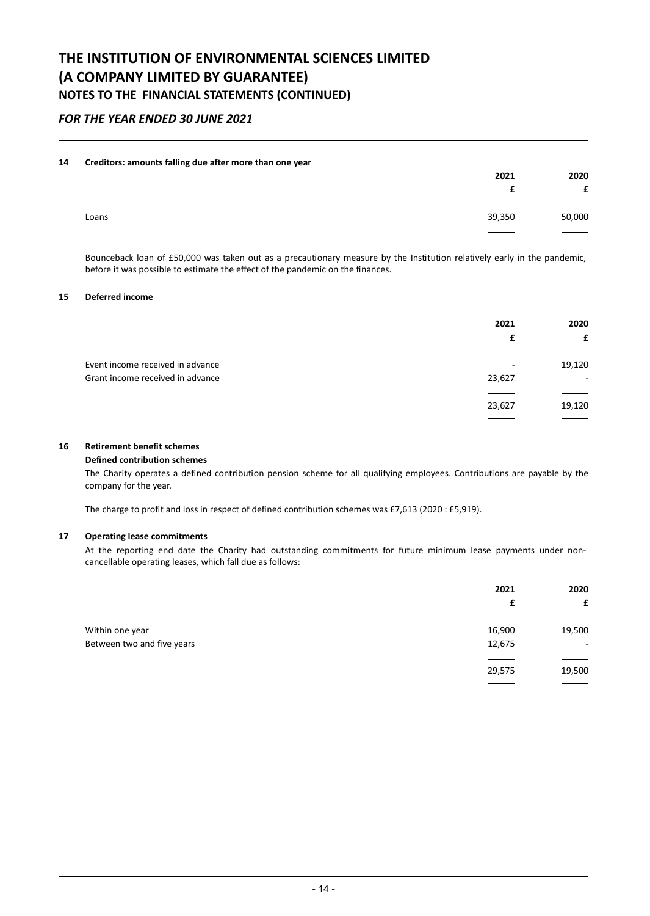## *FOR THE YEAR ENDED 30 JUNE 2021*

#### **14 Creditors: amounts falling due after more than one year**

|       | $\tilde{\phantom{a}}$ | . . | 2021                        | 2020<br>c                   |
|-------|-----------------------|-----|-----------------------------|-----------------------------|
| Loans |                       |     | 39,350<br>$\equiv$ $\equiv$ | 50,000<br>$\equiv$ $\equiv$ |

Bounceback loan of £50,000 was taken out as a precautionary measure by the Institution relatively early in the pandemic, before it was possible to estimate the effect of the pandemic on the finances.

### **15 Deferred income**

|                                  | 2021<br>£ | 2020<br>£ |
|----------------------------------|-----------|-----------|
| Event income received in advance | -         | 19,120    |
| Grant income received in advance | 23,627    | ۰         |
|                                  |           |           |
|                                  | 23,627    | 19,120    |
|                                  |           |           |

### **16 Retirement benefit schemes**

#### **Defined contribution schemes**

The Charity operates a defined contribution pension scheme for all qualifying employees. Contributions are payable by the company for the year.

The charge to profit and loss in respect of defined contribution schemes was £7,613 (2020 : £5,919).

### **17 Operating lease commitments**

At the reporting end date the Charity had outstanding commitments for future minimum lease payments under noncancellable operating leases, which fall due as follows:

|                            | 2021   | 2020   |
|----------------------------|--------|--------|
|                            | £      | £      |
| Within one year            | 16,900 | 19,500 |
| Between two and five years | 12,675 | $\sim$ |
|                            |        |        |
|                            | 29,575 | 19,500 |
|                            |        |        |